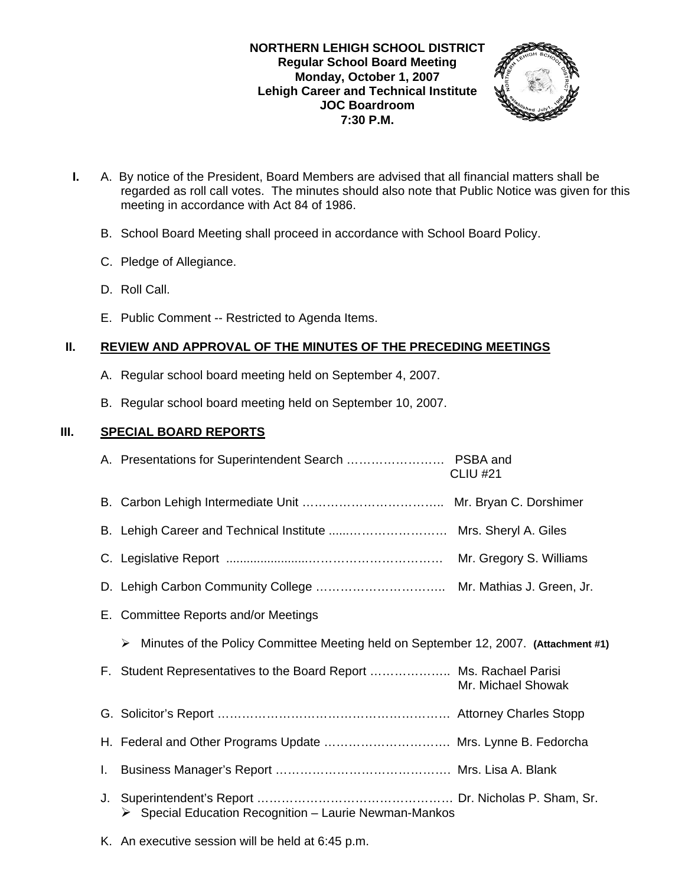

- **I.** A. By notice of the President, Board Members are advised that all financial matters shall be regarded as roll call votes. The minutes should also note that Public Notice was given for this meeting in accordance with Act 84 of 1986.
	- B. School Board Meeting shall proceed in accordance with School Board Policy.
	- C. Pledge of Allegiance.
	- D. Roll Call.
	- E. Public Comment -- Restricted to Agenda Items.

## **II. REVIEW AND APPROVAL OF THE MINUTES OF THE PRECEDING MEETINGS**

- A. Regular school board meeting held on September 4, 2007.
- B. Regular school board meeting held on September 10, 2007.

## **III. SPECIAL BOARD REPORTS**

|    |                                                                                          | <b>CLIU #21</b>    |
|----|------------------------------------------------------------------------------------------|--------------------|
|    |                                                                                          |                    |
|    |                                                                                          |                    |
|    |                                                                                          |                    |
|    |                                                                                          |                    |
|    | E. Committee Reports and/or Meetings                                                     |                    |
|    | Minutes of the Policy Committee Meeting held on September 12, 2007. (Attachment #1)<br>➤ |                    |
|    | F. Student Representatives to the Board Report  Ms. Rachael Parisi                       | Mr. Michael Showak |
|    |                                                                                          |                    |
|    | H. Federal and Other Programs Update  Mrs. Lynne B. Fedorcha                             |                    |
| L. |                                                                                          |                    |
| J. | Special Education Recognition - Laurie Newman-Mankos                                     |                    |

K. An executive session will be held at 6:45 p.m.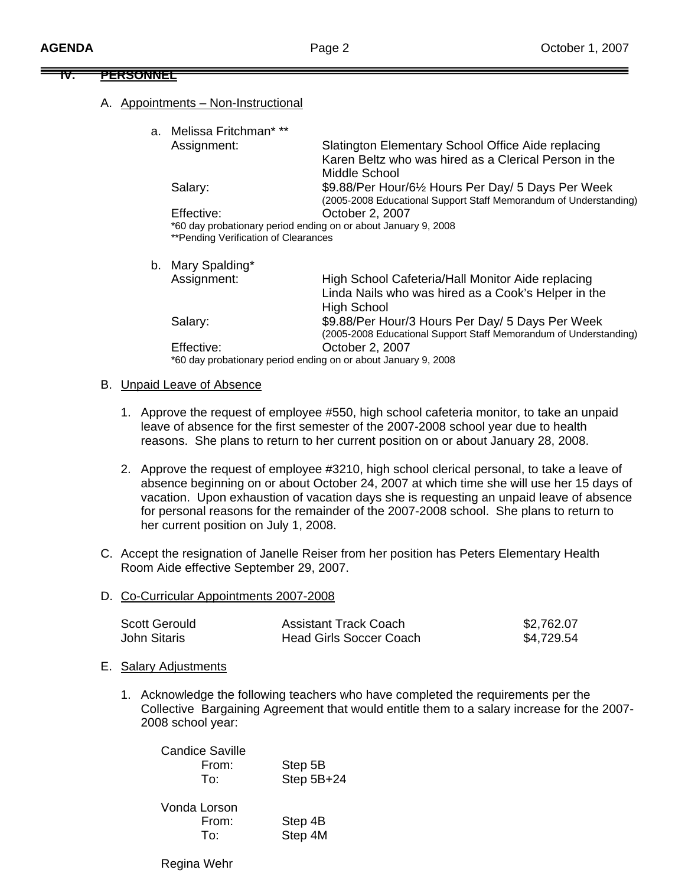#### **IV. PERSONNEL**

#### A. Appointments – Non-Instructional

| a. Melissa Fritchman* **                                                                               |                                                                                                                                |
|--------------------------------------------------------------------------------------------------------|--------------------------------------------------------------------------------------------------------------------------------|
| Assignment:                                                                                            | Slatington Elementary School Office Aide replacing<br>Karen Beltz who was hired as a Clerical Person in the<br>Middle School   |
| Salary:                                                                                                | \$9.88/Per Hour/6½ Hours Per Day/ 5 Days Per Week<br>(2005-2008 Educational Support Staff Memorandum of Understanding)         |
| Effective:                                                                                             | October 2, 2007                                                                                                                |
| *60 day probationary period ending on or about January 9, 2008<br>**Pending Verification of Clearances |                                                                                                                                |
| b. Mary Spalding*                                                                                      |                                                                                                                                |
| Assignment:                                                                                            | High School Cafeteria/Hall Monitor Aide replacing<br>Linda Nails who was hired as a Cook's Helper in the<br><b>High School</b> |
| Salary:                                                                                                | \$9.88/Per Hour/3 Hours Per Day/ 5 Days Per Week<br>(2005-2008 Educational Support Staff Memorandum of Understanding)          |
| Effective:                                                                                             | October 2, 2007                                                                                                                |
| *60 day probationary period ending on or about January 9, 2008                                         |                                                                                                                                |

#### B. Unpaid Leave of Absence

- 1. Approve the request of employee #550, high school cafeteria monitor, to take an unpaid leave of absence for the first semester of the 2007-2008 school year due to health reasons. She plans to return to her current position on or about January 28, 2008.
- 2. Approve the request of employee #3210, high school clerical personal, to take a leave of absence beginning on or about October 24, 2007 at which time she will use her 15 days of vacation. Upon exhaustion of vacation days she is requesting an unpaid leave of absence for personal reasons for the remainder of the 2007-2008 school. She plans to return to her current position on July 1, 2008.
- C. Accept the resignation of Janelle Reiser from her position has Peters Elementary Health Room Aide effective September 29, 2007.
- D. Co-Curricular Appointments 2007-2008

| Scott Gerould | <b>Assistant Track Coach</b>   | \$2,762.07 |
|---------------|--------------------------------|------------|
| John Sitaris  | <b>Head Girls Soccer Coach</b> | \$4,729.54 |

- E. Salary Adjustments
	- 1. Acknowledge the following teachers who have completed the requirements per the Collective Bargaining Agreement that would entitle them to a salary increase for the 2007- 2008 school year:

| Candice Saville |              |
|-----------------|--------------|
| From:           | Step 5B      |
| To:             | Step $5B+24$ |
|                 |              |

| Vonda Lorson |         |
|--------------|---------|
| From:        | Step 4B |
| To:          | Step 4M |

Regina Wehr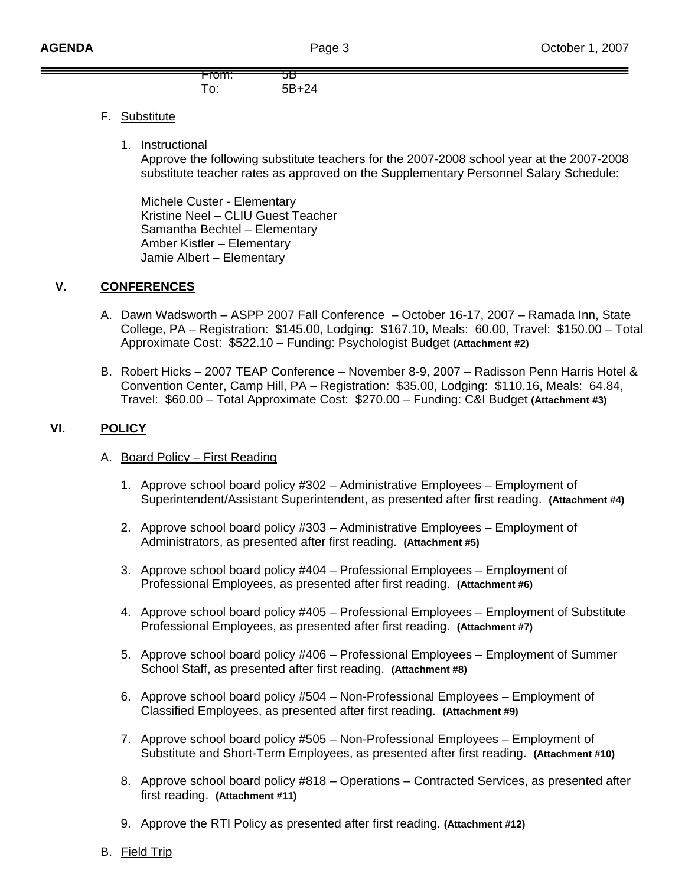

# F. Substitute

1. Instructional

 Approve the following substitute teachers for the 2007-2008 school year at the 2007-2008 substitute teacher rates as approved on the Supplementary Personnel Salary Schedule:

Michele Custer - Elementary Kristine Neel – CLIU Guest Teacher Samantha Bechtel – Elementary Amber Kistler – Elementary Jamie Albert – Elementary

# **V. CONFERENCES**

- A. Dawn Wadsworth ASPP 2007 Fall Conference October 16-17, 2007 Ramada Inn, State College, PA – Registration: \$145.00, Lodging: \$167.10, Meals: 60.00, Travel: \$150.00 – Total Approximate Cost: \$522.10 – Funding: Psychologist Budget **(Attachment #2)**
- B. Robert Hicks 2007 TEAP Conference November 8-9, 2007 Radisson Penn Harris Hotel & Convention Center, Camp Hill, PA – Registration: \$35.00, Lodging: \$110.16, Meals: 64.84, Travel: \$60.00 – Total Approximate Cost: \$270.00 – Funding: C&I Budget **(Attachment #3)**

## **VI. POLICY**

### A. Board Policy – First Reading

- 1. Approve school board policy #302 Administrative Employees Employment of Superintendent/Assistant Superintendent, as presented after first reading. **(Attachment #4)**
- 2. Approve school board policy #303 Administrative Employees Employment of Administrators, as presented after first reading. **(Attachment #5)**
- 3. Approve school board policy #404 Professional Employees Employment of Professional Employees, as presented after first reading. **(Attachment #6)**
- 4. Approve school board policy #405 Professional Employees Employment of Substitute Professional Employees, as presented after first reading. **(Attachment #7)**
- 5. Approve school board policy #406 Professional Employees Employment of Summer School Staff, as presented after first reading. **(Attachment #8)**
- 6. Approve school board policy #504 Non-Professional Employees Employment of Classified Employees, as presented after first reading. **(Attachment #9)**
- 7. Approve school board policy #505 Non-Professional Employees Employment of Substitute and Short-Term Employees, as presented after first reading. **(Attachment #10)**
- 8. Approve school board policy #818 Operations Contracted Services, as presented after first reading. **(Attachment #11)**
- 9. Approve the RTI Policy as presented after first reading. **(Attachment #12)**
- B. Field Trip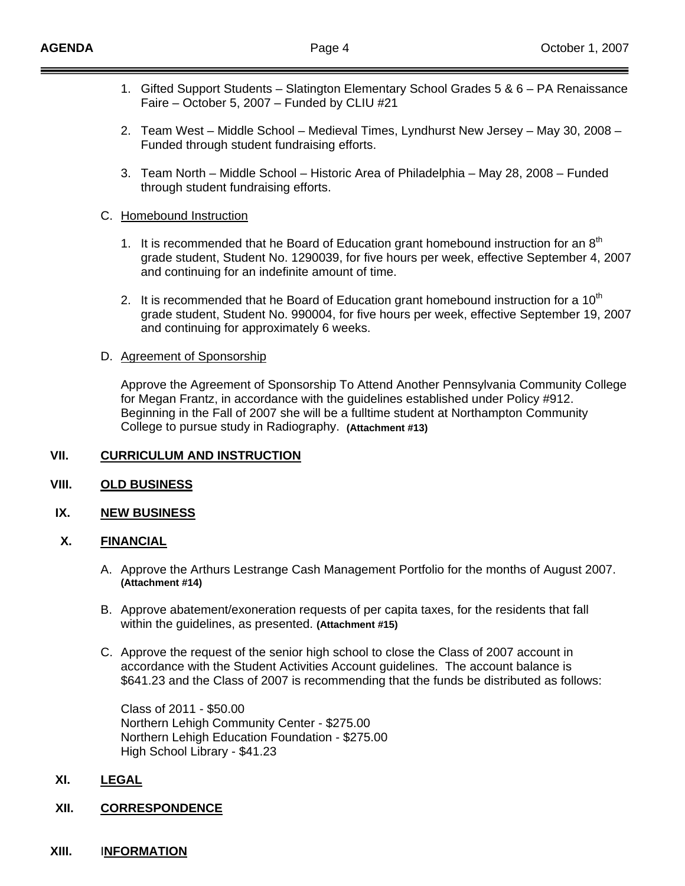- 1. Gifted Support Students Slatington Elementary School Grades 5 & 6 PA Renaissance Faire – October 5, 2007 – Funded by CLIU #21
- 2. Team West Middle School Medieval Times, Lyndhurst New Jersey May 30, 2008 Funded through student fundraising efforts.
- 3. Team North Middle School Historic Area of Philadelphia May 28, 2008 Funded through student fundraising efforts.

### C. Homebound Instruction

- 1. It is recommended that he Board of Education grant homebound instruction for an  $8<sup>th</sup>$ grade student, Student No. 1290039, for five hours per week, effective September 4, 2007 and continuing for an indefinite amount of time.
- 2. It is recommended that he Board of Education grant homebound instruction for a  $10<sup>m</sup>$ grade student, Student No. 990004, for five hours per week, effective September 19, 2007 and continuing for approximately 6 weeks.

### D. Agreement of Sponsorship

 Approve the Agreement of Sponsorship To Attend Another Pennsylvania Community College for Megan Frantz, in accordance with the guidelines established under Policy #912. Beginning in the Fall of 2007 she will be a fulltime student at Northampton Community College to pursue study in Radiography. **(Attachment #13)**

# **VII. CURRICULUM AND INSTRUCTION**

### **VIII. OLD BUSINESS**

### **IX. NEW BUSINESS**

### **X. FINANCIAL**

- A. Approve the Arthurs Lestrange Cash Management Portfolio for the months of August 2007. **(Attachment #14)**
- B. Approve abatement/exoneration requests of per capita taxes, for the residents that fall within the guidelines, as presented. **(Attachment #15)**
- C. Approve the request of the senior high school to close the Class of 2007 account in accordance with the Student Activities Account guidelines. The account balance is \$641.23 and the Class of 2007 is recommending that the funds be distributed as follows:

 Class of 2011 - \$50.00 Northern Lehigh Community Center - \$275.00 Northern Lehigh Education Foundation - \$275.00 High School Library - \$41.23

### **XI. LEGAL**

### **XII. CORRESPONDENCE**

**XIII.** I**NFORMATION**